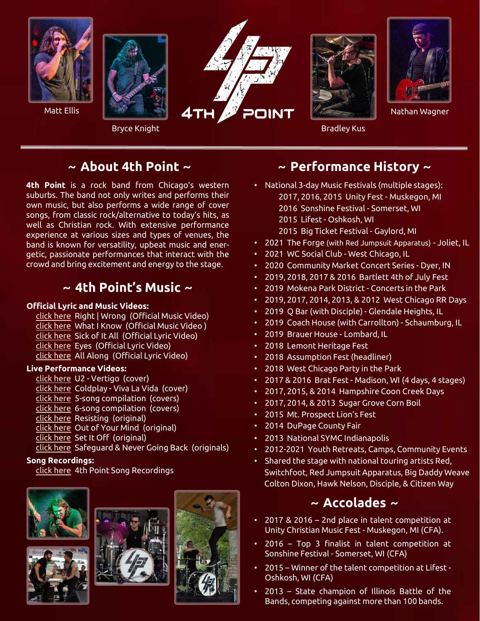

# **~ About 4th Point ~**

**4th Point** is a rock band from Chicago's western suburbs. The band not only writes and performs their own music, but also performs a wide range of cover songs, from classic rock/alternative to today's hits, as well as Christian rock. With extensive performance experience at various sizes and types of venues, the band is known for versatility, upbeat music and energetic, passionate performances that interact with the crowd and bring excitement and energy to the stage.

# **~ 4th Point's Music ~**

### **Official Lyric and Music Videos:**

[click here](https://www.youtube.com/watch?v=CeARv7MOhas) Right | Wrong (Official Music Video) [click here](https://www.youtube.com/watch?v=WIDTqIaWjdw) What I Know (Official Music Video ) [click here](https://www.youtube.com/watch?v=UXQGKfCWCBc) Sick of It All (Official Lyric Video) [click here](https://www.youtube.com/watch?v=2G1-bslo7O0) Eyes (Official Lyric Video) [click here](https://www.youtube.com/watch?v=O1CxtEgm3d0) All Along (Official Lyric Video)

### **Live Performance Videos:**

- [click here](https://www.youtube.com/watch?v=JrIW_uqE6tY) U2 Vertigo (cover)
- [click here](https://www.youtube.com/watch?v=6uIbcfD8liE) Coldplay Viva La Vida (cover)
- [click here](https://www.youtube.com/watch?v=PFgjPvNOk4w) 5-song compilation (covers)
- [click here](https://www.youtube.com/watch?v=qFvMW7AaCGw) 6-song compilation (covers)
- [click here](https://www.youtube.com/watch?v=15xL5oV5zfU) Resisting (original)
- [click here](https://www.youtube.com/watch?v=jOynLQAP3u0) Out of Your Mind (original)
- [click here](https://www.youtube.com/watch?v=D3SI_r7VMR8) Set It Off (original)
- [click here](https://www.youtube.com/watch?v=teTAODSEVGg) Safeguard & Never Going Back (originals)

### **Song Recordings:**

[click here](https://www.reverbnation.com/4thpointband) 4th Point Song Recordings









# **~ Performance History ~**

- National 3-day Music Festivals (multiple stages):
	- 2017, 2016, 2015 Unity Fest Muskegon, MI
	- 2016 Sonshine Festival Somerset, WI
	- 2015 Lifest Oshkosh, WI
	- 2015 Big Ticket Festival Gaylord, MI
- 2021 The Forge (with Red Jumpsuit Apparatus) Joliet, IL
- 2021 WC Social Club West Chicago, IL
- 2020 Community Market Concert Series Dyer, IN
- 2019, 2018, 2017 & 2016 Bartlett 4th of July Fest
- 2019 Mokena Park District Concerts in the Park
- 2019, 2017, 2014, 2013, & 2012 West Chicago RR Days
- 2019 Q Bar (with Disciple) Glendale Heights, IL
- 2019 Coach House (with Carrollton) Schaumburg, IL
- 2019 Brauer House Lombard, IL
- 2018 Lemont Heritage Fest
- 2018 Assumption Fest (headliner)
- 2018 West Chicago Party in the Park
- 2017 & 2016 Brat Fest Madison, WI (4 days, 4 stages)
- 2017, 2015, & 2014 Hampshire Coon Creek Days
- 2017, 2014, & 2013 Sugar Grove Corn Boil
- 2015 Mt. Prospect Lion's Fest
- 2014 DuPage County Fair
- 2013 National SYMC Indianapolis
- 2012-2021 Youth Retreats, Camps, Community Events
- Shared the stage with national touring artists Red, Switchfoot, Red Jumpsuit Apparatus, Big Daddy Weave Colton Dixon, Hawk Nelson, Disciple, & Citizen Way

# **~ Accolades ~**

- 2017 & 2016 2nd place in talent competition at Unity Christian Music Fest - Muskegon, MI (CFA).
- 2016 Top 3 finalist in talent competition at Sonshine Festival - Somerset, WI (CFA)
- 2015 Winner of the talent competition at Lifest Oshkosh, WI (CFA)
- 2013 State champion of Illinois Battle of the Bands, competing against more than 100 bands.